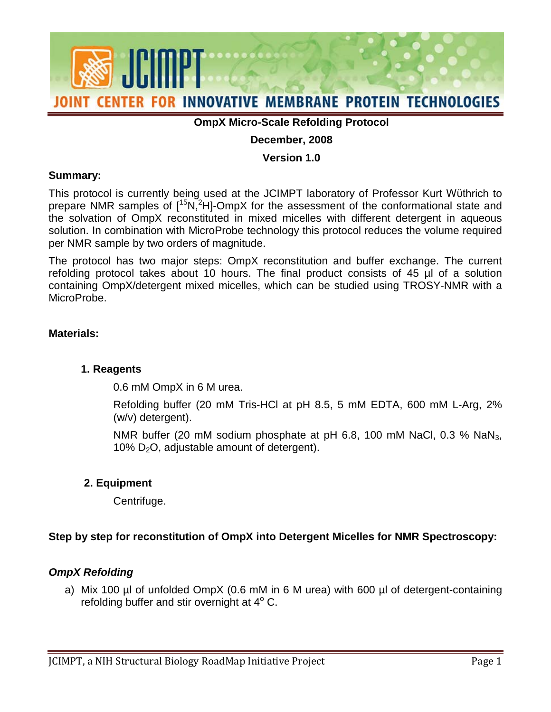

# **OmpX Micro-Scale Refolding Protocol**

# **December, 2008**

#### **Version 1.0**

#### **Summary:**

prepare NMR samples of  $[15N]^2$ H]-OmpX for the assessment of the conformational state and This protocol is currently being used at the JCIMPT laboratory of Professor Kurt Wϋthrich to the solvation of OmpX reconstituted in mixed micelles with different detergent in aqueous solution. In combination with MicroProbe technology this protocol reduces the volume required per NMR sample by two orders of magnitude.

 refolding protocol takes about 10 hours. The final product consists of 45 µl of a solution The protocol has two major steps: OmpX reconstitution and buffer exchange. The current containing OmpX/detergent mixed micelles, which can be studied using TROSY-NMR with a MicroProbe.

### **Materials:**

### **1. Reagents**

0.6 mM OmpX in 6 M urea.

 Refolding buffer (20 mM Tris-HCl at pH 8.5, 5 mM EDTA, 600 mM L-Arg, 2% (w/v) detergent).

10%  $D_2O$ , adjustable amount of detergent). NMR buffer (20 mM sodium phosphate at pH 6.8, 100 mM NaCl, 0.3 % NaN<sub>3</sub>,

### **2. Equipment**

Centrifuge.

### **Step by step for reconstitution of OmpX into Detergent Micelles for NMR Spectroscopy:**

### *OmpX Refolding*

refolding buffer and stir overnight at  $4^{\circ}$  C. a) Mix 100 µl of unfolded OmpX (0.6 mM in 6 M urea) with 600 µl of detergent-containing